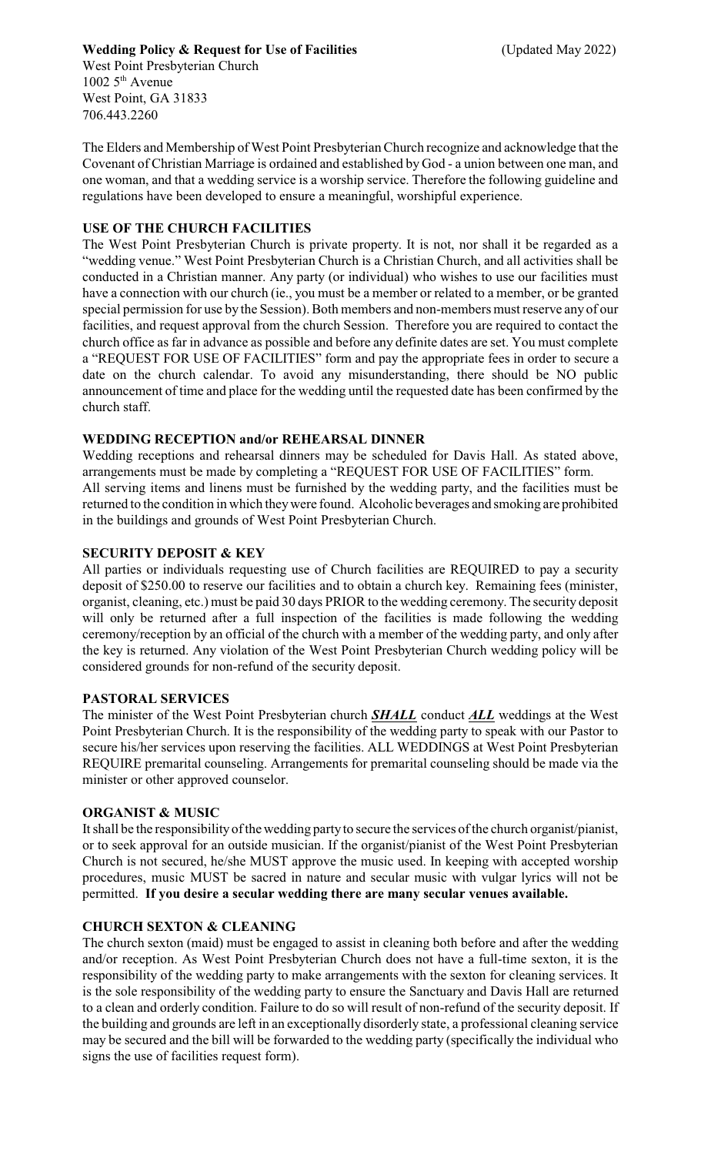# **Wedding Policy & Request for Use of Facilities** (Updated May 2022)

West Point Presbyterian Church  $10025^{\text{th}}$  Avenue West Point, GA 31833 706.443.2260

The Elders and Membership of West Point Presbyterian Church recognize and acknowledge that the Covenant of Christian Marriage is ordained and established by God - a union between one man, and one woman, and that a wedding service is a worship service. Therefore the following guideline and regulations have been developed to ensure a meaningful, worshipful experience.

# **USE OF THE CHURCH FACILITIES**

The West Point Presbyterian Church is private property. It is not, nor shall it be regarded as a "wedding venue." West Point Presbyterian Church is a Christian Church, and all activities shall be conducted in a Christian manner. Any party (or individual) who wishes to use our facilities must have a connection with our church (ie., you must be a member or related to a member, or be granted special permission for use by the Session). Both members and non-members must reserve any of our facilities, and request approval from the church Session. Therefore you are required to contact the church office as far in advance as possible and before any definite dates are set. You must complete a "REQUEST FOR USE OF FACILITIES" form and pay the appropriate fees in order to secure a date on the church calendar. To avoid any misunderstanding, there should be NO public announcement of time and place for the wedding until the requested date has been confirmed by the church staff.

## **WEDDING RECEPTION and/or REHEARSAL DINNER**

Wedding receptions and rehearsal dinners may be scheduled for Davis Hall. As stated above, arrangements must be made by completing a "REQUEST FOR USE OF FACILITIES" form. All serving items and linens must be furnished by the wedding party, and the facilities must be returned to the condition in which theywere found. Alcoholic beverages and smoking are prohibited in the buildings and grounds of West Point Presbyterian Church.

# **SECURITY DEPOSIT & KEY**

All parties or individuals requesting use of Church facilities are REQUIRED to pay a security deposit of \$250.00 to reserve our facilities and to obtain a church key. Remaining fees (minister, organist, cleaning, etc.) must be paid 30 days PRIOR to the wedding ceremony. The security deposit will only be returned after a full inspection of the facilities is made following the wedding ceremony/reception by an official of the church with a member of the wedding party, and only after the key is returned. Any violation of the West Point Presbyterian Church wedding policy will be considered grounds for non-refund of the security deposit.

## **PASTORAL SERVICES**

The minister of the West Point Presbyterian church *SHALL* conduct *ALL* weddings at the West Point Presbyterian Church. It is the responsibility of the wedding party to speak with our Pastor to secure his/her services upon reserving the facilities. ALL WEDDINGS at West Point Presbyterian REQUIRE premarital counseling. Arrangements for premarital counseling should be made via the minister or other approved counselor.

## **ORGANIST & MUSIC**

It shall be the responsibilityof the wedding partyto secure the services of the church organist/pianist, or to seek approval for an outside musician. If the organist/pianist of the West Point Presbyterian Church is not secured, he/she MUST approve the music used. In keeping with accepted worship procedures, music MUST be sacred in nature and secular music with vulgar lyrics will not be permitted. **If you desire a secular wedding there are many secular venues available.**

## **CHURCH SEXTON & CLEANING**

The church sexton (maid) must be engaged to assist in cleaning both before and after the wedding and/or reception. As West Point Presbyterian Church does not have a full-time sexton, it is the responsibility of the wedding party to make arrangements with the sexton for cleaning services. It is the sole responsibility of the wedding party to ensure the Sanctuary and Davis Hall are returned to a clean and orderly condition. Failure to do so will result of non-refund of the security deposit. If the building and grounds are left in an exceptionally disorderly state, a professional cleaning service may be secured and the bill will be forwarded to the wedding party (specifically the individual who signs the use of facilities request form).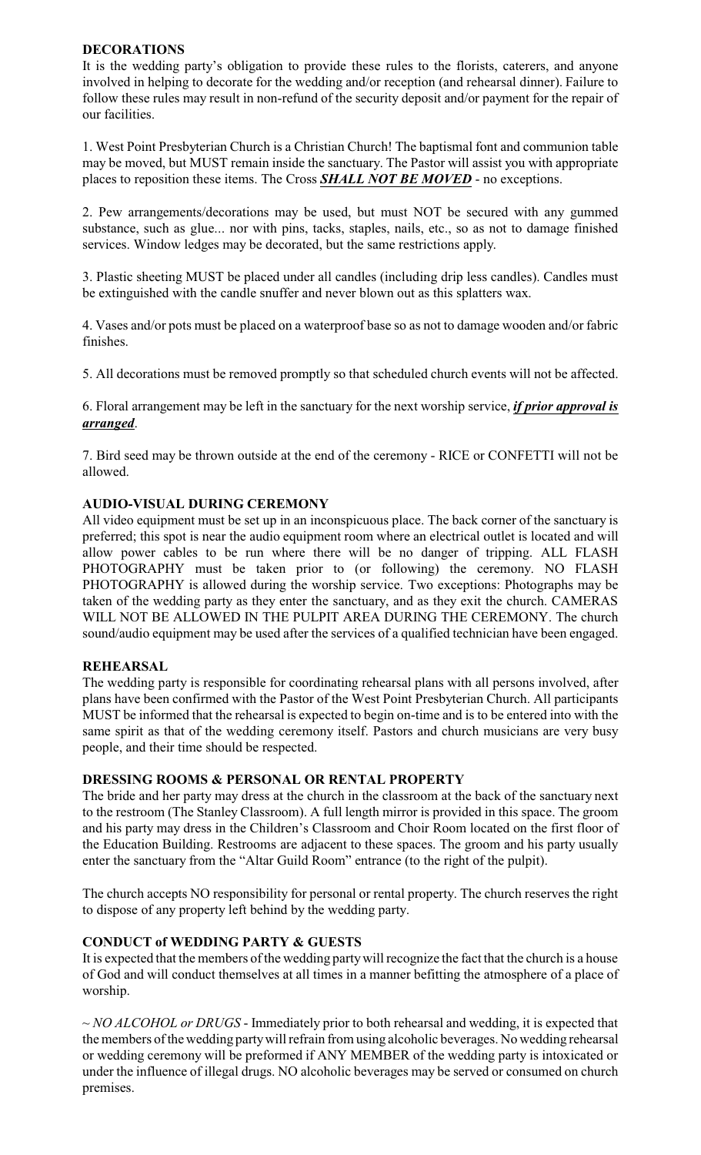## **DECORATIONS**

It is the wedding party's obligation to provide these rules to the florists, caterers, and anyone involved in helping to decorate for the wedding and/or reception (and rehearsal dinner). Failure to follow these rules may result in non-refund of the security deposit and/or payment for the repair of our facilities.

1. West Point Presbyterian Church is a Christian Church! The baptismal font and communion table may be moved, but MUST remain inside the sanctuary. The Pastor will assist you with appropriate places to reposition these items. The Cross *SHALL NOT BE MOVED* - no exceptions.

2. Pew arrangements/decorations may be used, but must NOT be secured with any gummed substance, such as glue... nor with pins, tacks, staples, nails, etc., so as not to damage finished services. Window ledges may be decorated, but the same restrictions apply.

3. Plastic sheeting MUST be placed under all candles (including drip less candles). Candles must be extinguished with the candle snuffer and never blown out as this splatters wax.

4. Vases and/or pots must be placed on a waterproof base so as not to damage wooden and/or fabric finishes.

5. All decorations must be removed promptly so that scheduled church events will not be affected.

6. Floral arrangement may be left in the sanctuary for the next worship service, *if prior approval is arranged*.

7. Bird seed may be thrown outside at the end of the ceremony - RICE or CONFETTI will not be allowed.

# **AUDIO-VISUAL DURING CEREMONY**

All video equipment must be set up in an inconspicuous place. The back corner of the sanctuary is preferred; this spot is near the audio equipment room where an electrical outlet is located and will allow power cables to be run where there will be no danger of tripping. ALL FLASH PHOTOGRAPHY must be taken prior to (or following) the ceremony. NO FLASH PHOTOGRAPHY is allowed during the worship service. Two exceptions: Photographs may be taken of the wedding party as they enter the sanctuary, and as they exit the church. CAMERAS WILL NOT BE ALLOWED IN THE PULPIT AREA DURING THE CEREMONY. The church sound/audio equipment may be used after the services of a qualified technician have been engaged.

## **REHEARSAL**

The wedding party is responsible for coordinating rehearsal plans with all persons involved, after plans have been confirmed with the Pastor of the West Point Presbyterian Church. All participants MUST be informed that the rehearsal is expected to begin on-time and is to be entered into with the same spirit as that of the wedding ceremony itself. Pastors and church musicians are very busy people, and their time should be respected.

## **DRESSING ROOMS & PERSONAL OR RENTAL PROPERTY**

The bride and her party may dress at the church in the classroom at the back of the sanctuary next to the restroom (The Stanley Classroom). A full length mirror is provided in this space. The groom and his party may dress in the Children's Classroom and Choir Room located on the first floor of the Education Building. Restrooms are adjacent to these spaces. The groom and his party usually enter the sanctuary from the "Altar Guild Room" entrance (to the right of the pulpit).

The church accepts NO responsibility for personal or rental property. The church reserves the right to dispose of any property left behind by the wedding party.

# **CONDUCT of WEDDING PARTY & GUESTS**

It is expected that the members of the wedding partywill recognize the fact that the church is a house of God and will conduct themselves at all times in a manner befitting the atmosphere of a place of worship.

~ *NO ALCOHOL or DRUGS* - Immediately prior to both rehearsal and wedding, it is expected that the members of the wedding partywill refrain from using alcoholic beverages. No wedding rehearsal or wedding ceremony will be preformed if ANY MEMBER of the wedding party is intoxicated or under the influence of illegal drugs. NO alcoholic beverages may be served or consumed on church premises.